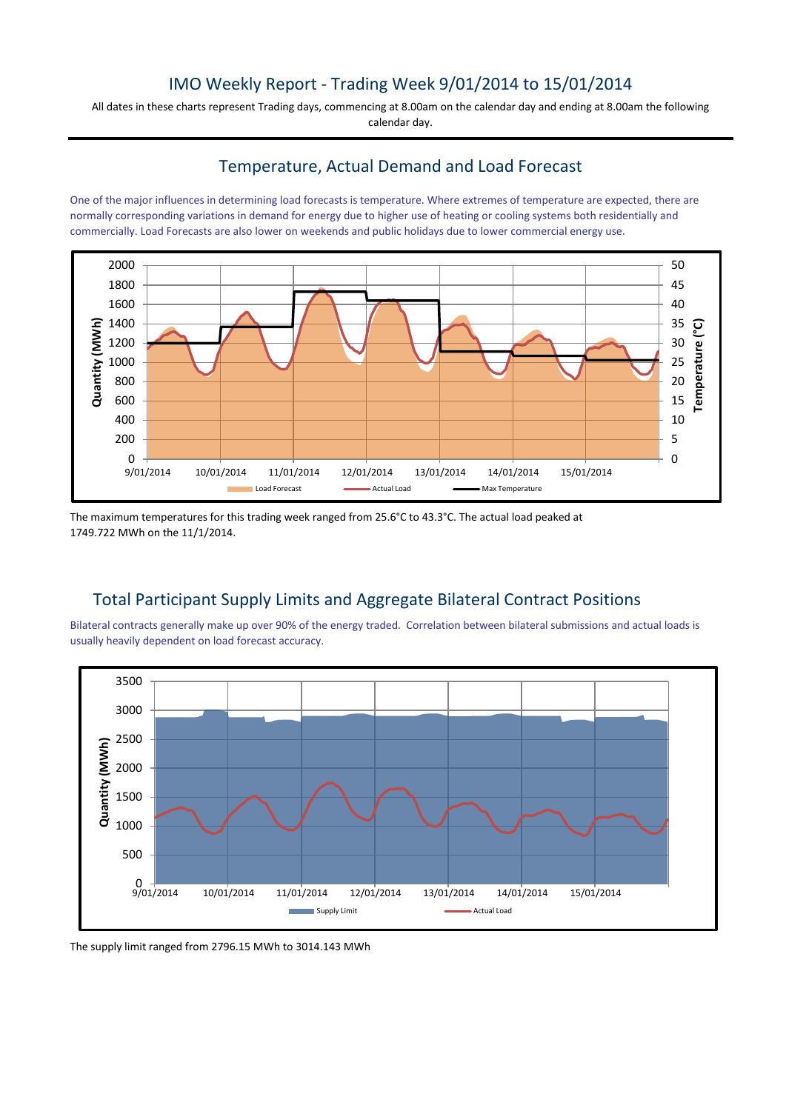## IMO Weekly Report - Trading Week 9/01/2014 to 15/01/2014

All dates in these charts represent Trading days, commencing at 8.00am on the calendar day and ending at 8.00am the following calendar day.

### Temperature, Actual Demand and Load Forecast

One of the major influences in determining load forecasts is temperature. Where extremes of temperature are expected, there are normally corresponding variations in demand for energy due to higher use of heating or cooling systems both residentially and commercially. Load Forecasts are also lower on weekends and public holidays due to lower commercial energy use.



The maximum temperatures for this trading week ranged from 25.6°C to 43.3°C. The actual load peaked at 1749.722 MWh on the 11/1/2014.

## Total Participant Supply Limits and Aggregate Bilateral Contract Positions

Bilateral contracts generally make up over 90% of the energy traded. Correlation between bilateral submissions and actual loads is usually heavily dependent on load forecast accuracy.



The supply limit ranged from 2796.15 MWh to 3014.143 MWh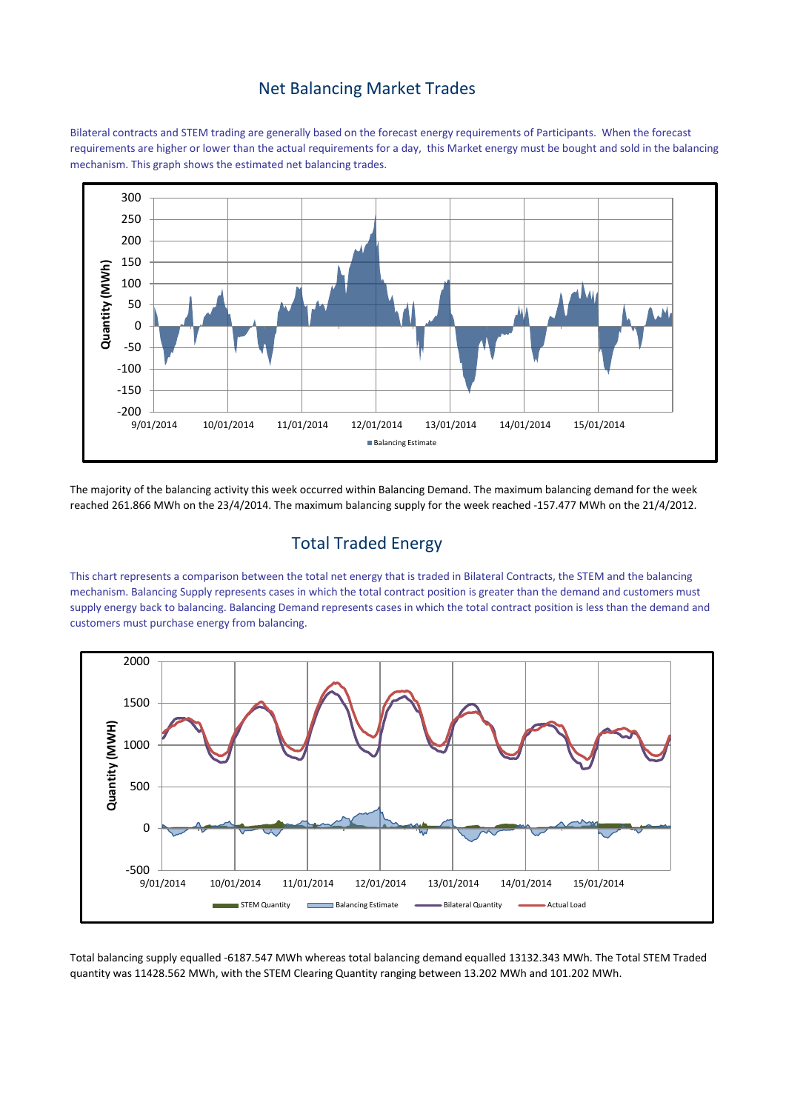#### Net Balancing Market Trades

Bilateral contracts and STEM trading are generally based on the forecast energy requirements of Participants. When the forecast requirements are higher or lower than the actual requirements for a day, this Market energy must be bought and sold in the balancing mechanism. This graph shows the estimated net balancing trades.



The majority of the balancing activity this week occurred within Balancing Demand. The maximum balancing demand for the week reached 261.866 MWh on the 23/4/2014. The maximum balancing supply for the week reached -157.477 MWh on the 21/4/2012.

## Total Traded Energy

This chart represents a comparison between the total net energy that is traded in Bilateral Contracts, the STEM and the balancing mechanism. Balancing Supply represents cases in which the total contract position is greater than the demand and customers must supply energy back to balancing. Balancing Demand represents cases in which the total contract position is less than the demand and customers must purchase energy from balancing.



Total balancing supply equalled -6187.547 MWh whereas total balancing demand equalled 13132.343 MWh. The Total STEM Traded quantity was 11428.562 MWh, with the STEM Clearing Quantity ranging between 13.202 MWh and 101.202 MWh.